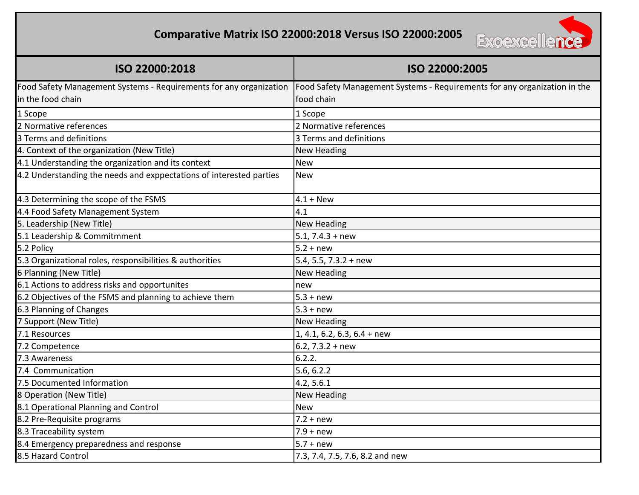## **Comparative Matrix ISO 22000:2018 Versus ISO 22000:2005**



| ISO 22000:2018                                                      | ISO 22000:2005                                                            |
|---------------------------------------------------------------------|---------------------------------------------------------------------------|
| Food Safety Management Systems - Requirements for any organization  | Food Safety Management Systems - Requirements for any organization in the |
| in the food chain                                                   | food chain                                                                |
| 1 Scope                                                             | 1 Scope                                                                   |
| 2 Normative references                                              | 2 Normative references                                                    |
| 3 Terms and definitions                                             | 3 Terms and definitions                                                   |
| 4. Context of the organization (New Title)                          | <b>New Heading</b>                                                        |
| 4.1 Understanding the organization and its context                  | <b>New</b>                                                                |
| 4.2 Understanding the needs and exppectations of interested parties | <b>New</b>                                                                |
| 4.3 Determining the scope of the FSMS                               | $4.1 + New$                                                               |
| 4.4 Food Safety Management System                                   | 4.1                                                                       |
| 5. Leadership (New Title)                                           | <b>New Heading</b>                                                        |
| 5.1 Leadership & Commitmment                                        | $5.1, 7.4.3 + new$                                                        |
| 5.2 Policy                                                          | $5.2 + new$                                                               |
| 5.3 Organizational roles, responsibilities & authorities            | 5.4, 5.5, 7.3.2 + new                                                     |
| 6 Planning (New Title)                                              | <b>New Heading</b>                                                        |
| 6.1 Actions to address risks and opportunites                       | new                                                                       |
| 6.2 Objectives of the FSMS and planning to achieve them             | $5.3 + new$                                                               |
| 6.3 Planning of Changes                                             | $5.3 + new$                                                               |
| 7 Support (New Title)                                               | <b>New Heading</b>                                                        |
| 7.1 Resources                                                       | $1, 4.1, 6.2, 6.3, 6.4 + new$                                             |
| 7.2 Competence                                                      | 6.2, $7.3.2 + new$                                                        |
| 7.3 Awareness                                                       | 6.2.2.                                                                    |
| 7.4 Communication                                                   | 5.6, 6.2.2                                                                |
| 7.5 Documented Information                                          | 4.2, 5.6.1                                                                |
| 8 Operation (New Title)                                             | <b>New Heading</b>                                                        |
| 8.1 Operational Planning and Control                                | <b>New</b>                                                                |
| 8.2 Pre-Requisite programs                                          | $7.2 + new$                                                               |
| 8.3 Traceability system                                             | $7.9 + new$                                                               |
| 8.4 Emergency preparedness and response                             | $5.7 + new$                                                               |
| 8.5 Hazard Control                                                  | 7.3, 7.4, 7.5, 7.6, 8.2 and new                                           |